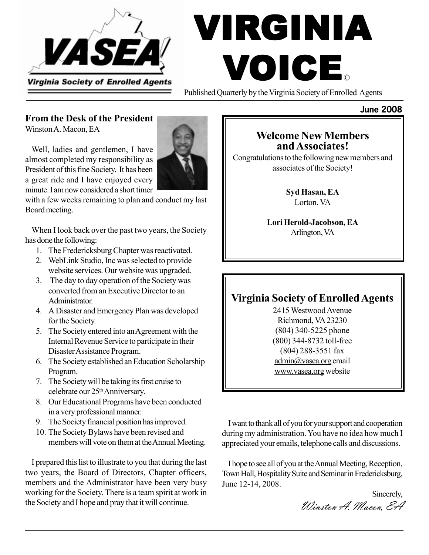

# VIRGINIA VOICE ©

Published Quarterly by the Virginia Society of Enrolled Agents

## **From the Desk of the President**

Winston A. Macon, EA

Well, ladies and gentlemen, I have almost completed my responsibility as President of this fine Society. It has been a great ride and I have enjoyed every minute. I am now considered a short timer

with a few weeks remaining to plan and conduct my last Board meeting.

When I look back over the past two years, the Society has done the following:

- 1. The Fredericksburg Chapter was reactivated.
- 2. WebLink Studio, Inc was selected to provide website services. Our website was upgraded.
- 3. The day to day operation of the Society was converted from an Executive Director to an Administrator.
- 4. A Disaster and Emergency Plan was developed for the Society.
- 5. The Society entered into an Agreement with the Internal Revenue Service to participate in their Disaster Assistance Program.
- 6. The Society established an Education Scholarship Program.
- 7. The Society will be taking its first cruise to celebrate our 25<sup>th</sup> Anniversary.
- 8. Our Educational Programs have been conducted in a very professional manner.
- 9. The Society financial position has improved.
- 10. The Society Bylaws have been revised and members will vote on them at the Annual Meeting.

I prepared this list to illustrate to you that during the last two years, the Board of Directors, Chapter officers, members and the Administrator have been very busy working for the Society. There is a team spirit at work in the Society and I hope and pray that it will continue.

## **Welcome New Members and Associates!**

Congratulations to the following new members and associates of the Society!

> **Syd Hasan, EA** Lorton, VA

**Lori Herold-Jacobson, EA** Arlington, VA

# **Virginia Society of Enrolled Agents**

2415 Westwood Avenue Richmond, VA 23230 (804) 340-5225 phone (800) 344-8732 toll-free (804) 288-3551 fax admin@vasea.org email www.vasea.org website

I want to thank all of you for your support and cooperation during my administration. You have no idea how much I appreciated your emails, telephone calls and discussions.

I hope to see all of you at the Annual Meeting, Reception, Town Hall, Hospitality Suite and Seminar in Fredericksburg, June 12-14, 2008.

Sincerely, Winston A. Macon, EA



**June 2008**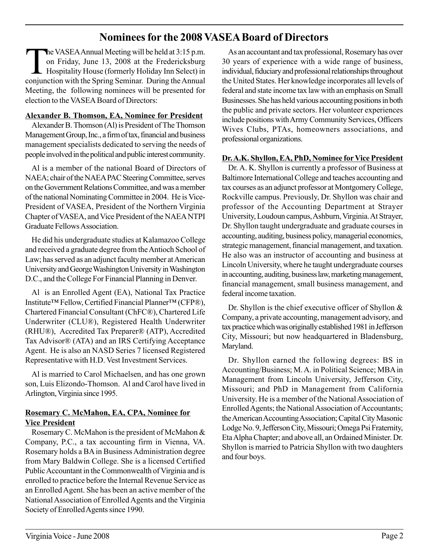## **Nominees for the 2008 VASEA Board of Directors**

The VASEA Annual Meeting will be held at 3:15 p.m.<br>on Friday, June 13, 2008 at the Fredericksburg<br>Hospitality House (formerly Holiday Inn Select) in on Friday, June 13, 2008 at the Fredericksburg Hospitality House (formerly Holiday Inn Select) in conjunction with the Spring Seminar. During the Annual Meeting, the following nominees will be presented for election to the VASEA Board of Directors:

#### **Alexander B. Thomson, EA, Nominee for President**

Alexander B. Thomson (Al) is President of The Thomson Management Group, Inc., a firm of tax, financial and business management specialists dedicated to serving the needs of people involved in the political and public interest community.

Al is a member of the national Board of Directors of NAEA; chair of the NAEA PAC Steering Committee, serves on the Government Relations Committee, and was a member of the national Nominating Committee in 2004. He is Vice-President of VASEA, President of the Northern Virginia Chapter of VASEA, and Vice President of the NAEA NTPI Graduate Fellows Association.

He did his undergraduate studies at Kalamazoo College and received a graduate degree from the Antioch School of Law; has served as an adjunct faculty member at American University and George Washington University in Washington D.C., and the College For Financial Planning in Denver.

Al is an Enrolled Agent (EA), National Tax Practice Institute™ Fellow, Certified Financial Planner™ (CFP®), Chartered Financial Consultant (ChFC®), Chartered Life Underwriter (CLU®), Registered Health Underwriter (RHU®), Accredited Tax Preparer® (ATP), Accredited Tax Advisor® (ATA) and an IRS Certifying Acceptance Agent. He is also an NASD Series 7 licensed Registered Representative with H.D. Vest Investment Services.

Al is married to Carol Michaelsen, and has one grown son, Luis Elizondo-Thomson. Al and Carol have lived in Arlington, Virginia since 1995.

#### **Rosemary C. McMahon, EA, CPA, Nominee for Vice President**

Rosemary C. McMahon is the president of McMahon & Company, P.C., a tax accounting firm in Vienna, VA. Rosemary holds a BA in Business Administration degree from Mary Baldwin College. She is a licensed Certified Public Accountant in the Commonwealth of Virginia and is enrolled to practice before the Internal Revenue Service as an Enrolled Agent. She has been an active member of the National Association of Enrolled Agents and the Virginia Society of Enrolled Agents since 1990.

As an accountant and tax professional, Rosemary has over 30 years of experience with a wide range of business, individual, fiduciary and professional relationships throughout the United States. Her knowledge incorporates all levels of federal and state income tax law with an emphasis on Small Businesses. She has held various accounting positions in both the public and private sectors. Her volunteer experiences include positions with Army Community Services, Officers Wives Clubs, PTAs, homeowners associations, and professional organizations.

#### **Dr. A.K. Shyllon, EA, PhD, Nominee for Vice President**

Dr. A. K. Shyllon is currently a professor of Business at Baltimore International College and teaches accounting and tax courses as an adjunct professor at Montgomery College, Rockville campus. Previously, Dr. Shyllon was chair and professor of the Accounting Department at Strayer University, Loudoun campus, Ashburn, Virginia. At Strayer, Dr. Shyllon taught undergraduate and graduate courses in accounting, auditing, business policy, managerial economics, strategic management, financial management, and taxation. He also was an instructor of accounting and business at Lincoln University, where he taught undergraduate courses in accounting, auditing, business law, marketing management, financial management, small business management, and federal income taxation.

Dr. Shyllon is the chief executive officer of Shyllon & Company, a private accounting, management advisory, and tax practice which was originally established 1981 in Jefferson City, Missouri; but now headquartered in Bladensburg, Maryland.

Dr. Shyllon earned the following degrees: BS in Accounting/Business; M. A. in Political Science; MBA in Management from Lincoln University, Jefferson City, Missouri; and PhD in Management from California University. He is a member of the National Association of Enrolled Agents; the National Association of Accountants; the American Accounting Association; Capital City Masonic Lodge No. 9, Jefferson City, Missouri; Omega Psi Fraternity, Eta Alpha Chapter; and above all, an Ordained Minister. Dr. Shyllon is married to Patricia Shyllon with two daughters and four boys.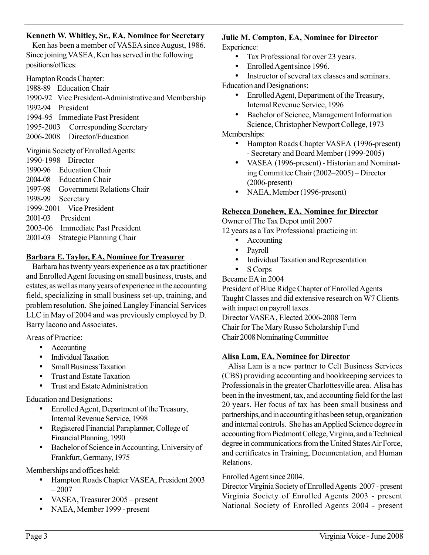#### **Kenneth W. Whitley, Sr., EA, Nominee for Secretary**

Ken has been a member of VASEA since August, 1986. Since joining VASEA, Ken has served in the following positions/offices:

Hampton Roads Chapter:

1988-89 Education Chair

1990-92 Vice President-Administrative and Membership 1992-94 President 1994-95 Immediate Past President 1995-2003 Corresponding Secretary 2006-2008 Director/Education

#### Virginia Society of Enrolled Agents:

1990-1998 Director 1990-96 Education Chair 2004-08 Education Chair 1997-98 Government Relations Chair 1998-99 Secretary 1999-2001 Vice President 2001-03 President 2003-06 Immediate Past President 2001-03 Strategic Planning Chair

#### **Barbara E. Taylor, EA, Nominee for Treasurer**

Barbara has twenty years experience as a tax practitioner and Enrolled Agent focusing on small business, trusts, and estates; as well as many years of experience in the accounting field, specializing in small business set-up, training, and problem resolution. She joined Langley Financial Services LLC in May of 2004 and was previously employed by D. Barry Iacono and Associates.

Areas of Practice:

- Accounting
- Individual Taxation
- Small Business Taxation
- Trust and Estate Taxation
- Trust and Estate Administration

Education and Designations:

- Enrolled Agent, Department of the Treasury, Internal Revenue Service, 1998
- Registered Financial Paraplanner, College of Financial Planning, 1990
- Bachelor of Science in Accounting, University of Frankfurt, Germany, 1975

Memberships and offices held:

- Hampton Roads Chapter VASEA, President 2003  $-2007$
- VASEA, Treasurer 2005 present
- NAEA, Member 1999 present

## **Julie M. Compton, EA, Nominee for Director**

Experience:

- Tax Professional for over 23 years.
- Enrolled Agent since 1996.

• Instructor of several tax classes and seminars. Education and Designations:

- Enrolled Agent, Department of the Treasury, Internal Revenue Service, 1996
- Bachelor of Science, Management Information Science, Christopher Newport College, 1973

Memberships:

- Hampton Roads Chapter VASEA (1996-present) - Secretary and Board Member (1999-2005)
- VASEA (1996-present) Historian and Nominating Committee Chair (2002–2005) – Director (2006-present)
- NAEA, Member (1996-present)

#### **Rebecca Donehew, EA, Nominee for Director**

Owner of The Tax Depot until 2007 12 years as a Tax Professional practicing in:

- Accounting
- Payroll
- Individual Taxation and Representation
- S Corps

Became EA in 2004

President of Blue Ridge Chapter of Enrolled Agents Taught Classes and did extensive research on W7 Clients with impact on payroll taxes.

Director VASEA , Elected 2006-2008 Term Chair for The Mary Russo Scholarship Fund Chair 2008 Nominating Committee

#### **Alisa Lam, EA, Nominee for Director**

Alisa Lam is a new partner to Celt Business Services (CBS) providing accounting and bookkeeping services to Professionals in the greater Charlottesville area. Alisa has been in the investment, tax, and accounting field for the last 20 years. Her focus of tax has been small business and partnerships, and in accounting it has been set up, organization and internal controls. She has an Applied Science degree in accounting from Piedmont College, Virginia, and a Technical degree in communications from the United States Air Force, and certificates in Training, Documentation, and Human Relations.

Enrolled Agent since 2004.

Director Virginia Society of Enrolled Agents 2007 - present Virginia Society of Enrolled Agents 2003 - present National Society of Enrolled Agents 2004 - present